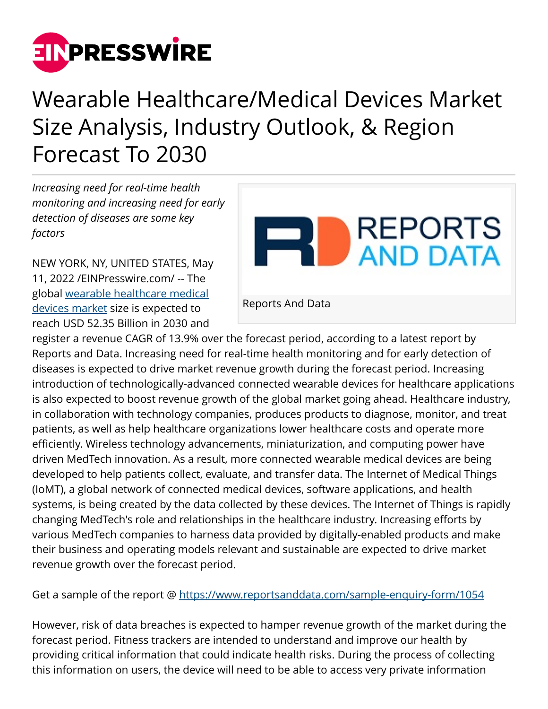

## Wearable Healthcare/Medical Devices Market Size Analysis, Industry Outlook, & Region Forecast To 2030

*Increasing need for real-time health monitoring and increasing need for early detection of diseases are some key factors*

NEW YORK, NY, UNITED STATES, May 11, 2022 /[EINPresswire.com/](http://www.einpresswire.com) -- The global [wearable healthcare medical](https://www.reportsanddata.com/report-detail/wearable-healthcare-medical-devices-market) [devices market](https://www.reportsanddata.com/report-detail/wearable-healthcare-medical-devices-market) size is expected to reach USD 52.35 Billion in 2030 and



Reports And Data

register a revenue CAGR of 13.9% over the forecast period, according to a latest report by Reports and Data. Increasing need for real-time health monitoring and for early detection of diseases is expected to drive market revenue growth during the forecast period. Increasing introduction of technologically-advanced connected wearable devices for healthcare applications is also expected to boost revenue growth of the global market going ahead. Healthcare industry, in collaboration with technology companies, produces products to diagnose, monitor, and treat patients, as well as help healthcare organizations lower healthcare costs and operate more efficiently. Wireless technology advancements, miniaturization, and computing power have driven MedTech innovation. As a result, more connected wearable medical devices are being developed to help patients collect, evaluate, and transfer data. The Internet of Medical Things (IoMT), a global network of connected medical devices, software applications, and health systems, is being created by the data collected by these devices. The Internet of Things is rapidly changing MedTech's role and relationships in the healthcare industry. Increasing efforts by various MedTech companies to harness data provided by digitally-enabled products and make their business and operating models relevant and sustainable are expected to drive market revenue growth over the forecast period.

Get a sample of the report @<https://www.reportsanddata.com/sample-enquiry-form/1054>

However, risk of data breaches is expected to hamper revenue growth of the market during the forecast period. Fitness trackers are intended to understand and improve our health by providing critical information that could indicate health risks. During the process of collecting this information on users, the device will need to be able to access very private information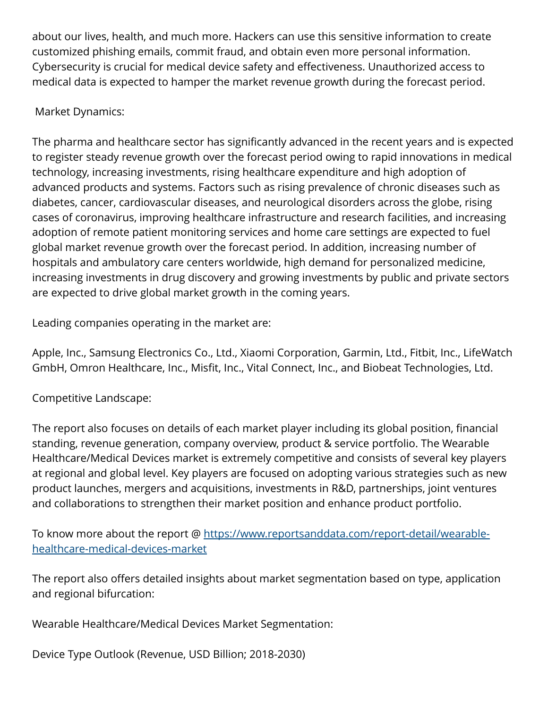about our lives, health, and much more. Hackers can use this sensitive information to create customized phishing emails, commit fraud, and obtain even more personal information. Cybersecurity is crucial for medical device safety and effectiveness. Unauthorized access to medical data is expected to hamper the market revenue growth during the forecast period.

## Market Dynamics:

The pharma and healthcare sector has significantly advanced in the recent years and is expected to register steady revenue growth over the forecast period owing to rapid innovations in medical technology, increasing investments, rising healthcare expenditure and high adoption of advanced products and systems. Factors such as rising prevalence of chronic diseases such as diabetes, cancer, cardiovascular diseases, and neurological disorders across the globe, rising cases of coronavirus, improving healthcare infrastructure and research facilities, and increasing adoption of remote patient monitoring services and home care settings are expected to fuel global market revenue growth over the forecast period. In addition, increasing number of hospitals and ambulatory care centers worldwide, high demand for personalized medicine, increasing investments in drug discovery and growing investments by public and private sectors are expected to drive global market growth in the coming years.

Leading companies operating in the market are:

Apple, Inc., Samsung Electronics Co., Ltd., Xiaomi Corporation, Garmin, Ltd., Fitbit, Inc., LifeWatch GmbH, Omron Healthcare, Inc., Misfit, Inc., Vital Connect, Inc., and Biobeat Technologies, Ltd.

Competitive Landscape:

The report also focuses on details of each market player including its global position, financial standing, revenue generation, company overview, product & service portfolio. The Wearable Healthcare/Medical Devices market is extremely competitive and consists of several key players at regional and global level. Key players are focused on adopting various strategies such as new product launches, mergers and acquisitions, investments in R&D, partnerships, joint ventures and collaborations to strengthen their market position and enhance product portfolio.

To know more about the report @ [https://www.reportsanddata.com/report-detail/wearable](https://www.reportsanddata.com/report-detail/wearable-healthcare-medical-devices-market)[healthcare-medical-devices-market](https://www.reportsanddata.com/report-detail/wearable-healthcare-medical-devices-market)

The report also offers detailed insights about market segmentation based on type, application and regional bifurcation:

Wearable Healthcare/Medical Devices Market Segmentation:

Device Type Outlook (Revenue, USD Billion; 2018-2030)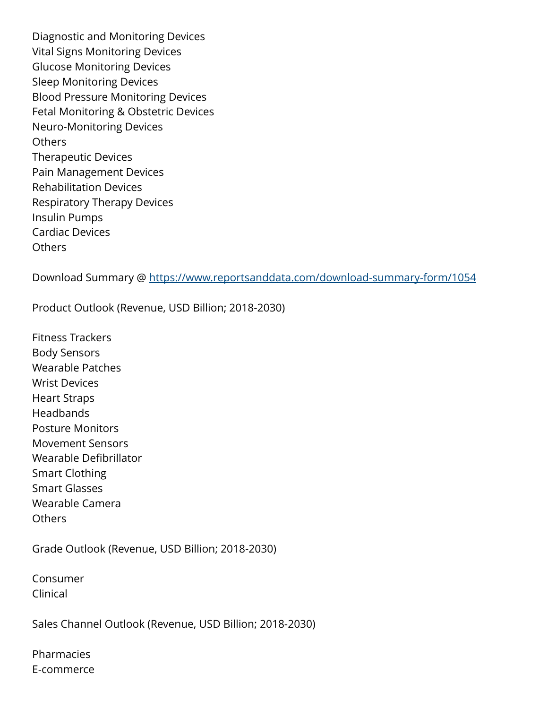Diagnostic and Monitoring Devices Vital Signs Monitoring Devices Glucose Monitoring Devices Sleep Monitoring Devices Blood Pressure Monitoring Devices Fetal Monitoring & Obstetric Devices Neuro-Monitoring Devices **Others** Therapeutic Devices Pain Management Devices Rehabilitation Devices Respiratory Therapy Devices Insulin Pumps Cardiac Devices **Others** 

Download Summary @ <https://www.reportsanddata.com/download-summary-form/1054>

Product Outlook (Revenue, USD Billion; 2018-2030)

Fitness Trackers Body Sensors Wearable Patches Wrist Devices Heart Straps Headbands Posture Monitors Movement Sensors Wearable Defibrillator Smart Clothing Smart Glasses Wearable Camera **Others** 

Grade Outlook (Revenue, USD Billion; 2018-2030)

Consumer Clinical

Sales Channel Outlook (Revenue, USD Billion; 2018-2030)

Pharmacies E-commerce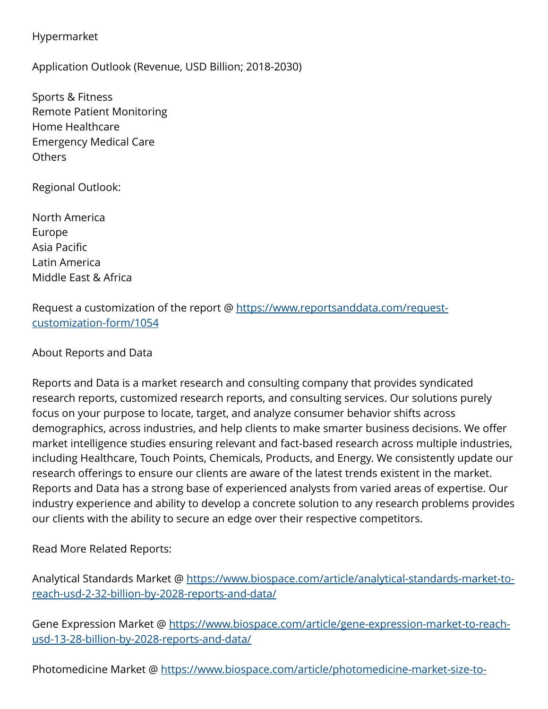Hypermarket

Application Outlook (Revenue, USD Billion; 2018-2030)

Sports & Fitness Remote Patient Monitoring Home Healthcare Emergency Medical Care **Others** 

Regional Outlook:

North America Europe Asia Pacific Latin America Middle East & Africa

Request a customization of the report @ [https://www.reportsanddata.com/request](https://www.reportsanddata.com/request-customization-form/1054)[customization-form/1054](https://www.reportsanddata.com/request-customization-form/1054)

About Reports and Data

Reports and Data is a market research and consulting company that provides syndicated research reports, customized research reports, and consulting services. Our solutions purely focus on your purpose to locate, target, and analyze consumer behavior shifts across demographics, across industries, and help clients to make smarter business decisions. We offer market intelligence studies ensuring relevant and fact-based research across multiple industries, including Healthcare, Touch Points, Chemicals, Products, and Energy. We consistently update our research offerings to ensure our clients are aware of the latest trends existent in the market. Reports and Data has a strong base of experienced analysts from varied areas of expertise. Our industry experience and ability to develop a concrete solution to any research problems provides our clients with the ability to secure an edge over their respective competitors.

Read More Related Reports:

Analytical Standards Market @ [https://www.biospace.com/article/analytical-standards-market-to](https://www.biospace.com/article/analytical-standards-market-to-reach-usd-2-32-billion-by-2028-reports-and-data/)[reach-usd-2-32-billion-by-2028-reports-and-data/](https://www.biospace.com/article/analytical-standards-market-to-reach-usd-2-32-billion-by-2028-reports-and-data/)

Gene Expression Market @ [https://www.biospace.com/article/gene-expression-market-to-reach](https://www.biospace.com/article/gene-expression-market-to-reach-usd-13-28-billion-by-2028-reports-and-data/)[usd-13-28-billion-by-2028-reports-and-data/](https://www.biospace.com/article/gene-expression-market-to-reach-usd-13-28-billion-by-2028-reports-and-data/)

Photomedicine Market @ [https://www.biospace.com/article/photomedicine-market-size-to-](https://www.biospace.com/article/photomedicine-market-size-to-reach-usd-547-28-million-by-2028-reports-and-data/)